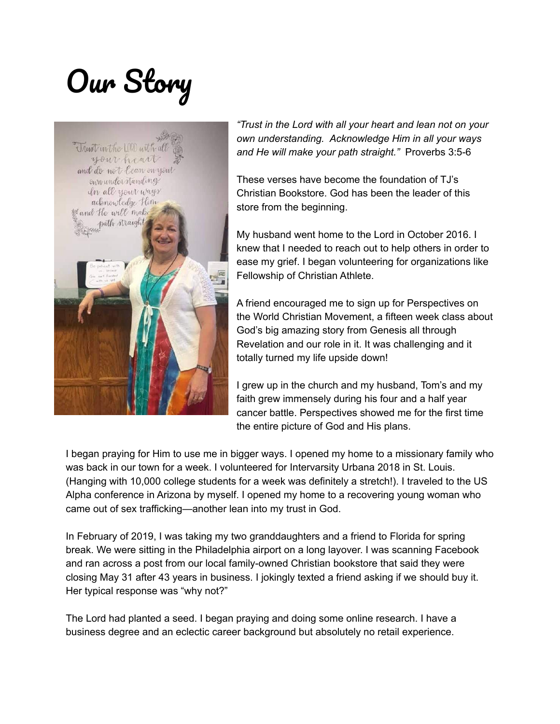## Our Story



*"Trust in the Lord with all your heart and lean not on your own understanding. Acknowledge Him in all your ways and He will make your path straight."* Proverbs 3:5-6

These verses have become the foundation of TJ's Christian Bookstore. God has been the leader of this store from the beginning.

My husband went home to the Lord in October 2016. I knew that I needed to reach out to help others in order to ease my grief. I began volunteering for organizations like Fellowship of Christian Athlete.

A friend encouraged me to sign up for Perspectives on the World Christian Movement, a fifteen week class about God's big amazing story from Genesis all through Revelation and our role in it. It was challenging and it totally turned my life upside down!

I grew up in the church and my husband, Tom's and my faith grew immensely during his four and a half year cancer battle. Perspectives showed me for the first time the entire picture of God and His plans.

I began praying for Him to use me in bigger ways. I opened my home to a missionary family who was back in our town for a week. I volunteered for Intervarsity Urbana 2018 in St. Louis. (Hanging with 10,000 college students for a week was definitely a stretch!). I traveled to the US Alpha conference in Arizona by myself. I opened my home to a recovering young woman who came out of sex trafficking—another lean into my trust in God.

In February of 2019, I was taking my two granddaughters and a friend to Florida for spring break. We were sitting in the Philadelphia airport on a long layover. I was scanning Facebook and ran across a post from our local family-owned Christian bookstore that said they were closing May 31 after 43 years in business. I jokingly texted a friend asking if we should buy it. Her typical response was "why not?"

The Lord had planted a seed. I began praying and doing some online research. I have a business degree and an eclectic career background but absolutely no retail experience.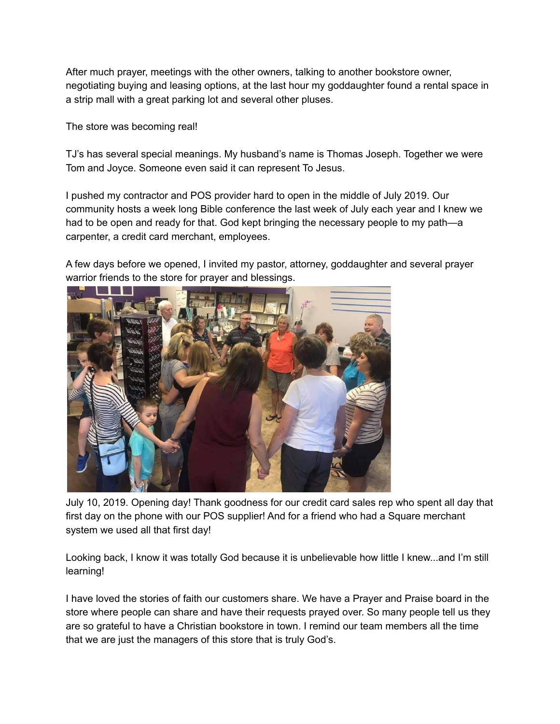After much prayer, meetings with the other owners, talking to another bookstore owner, negotiating buying and leasing options, at the last hour my goddaughter found a rental space in a strip mall with a great parking lot and several other pluses.

The store was becoming real!

TJ's has several special meanings. My husband's name is Thomas Joseph. Together we were Tom and Joyce. Someone even said it can represent To Jesus.

I pushed my contractor and POS provider hard to open in the middle of July 2019. Our community hosts a week long Bible conference the last week of July each year and I knew we had to be open and ready for that. God kept bringing the necessary people to my path—a carpenter, a credit card merchant, employees.

A few days before we opened, I invited my pastor, attorney, goddaughter and several prayer warrior friends to the store for prayer and blessings.



July 10, 2019. Opening day! Thank goodness for our credit card sales rep who spent all day that first day on the phone with our POS supplier! And for a friend who had a Square merchant system we used all that first day!

Looking back, I know it was totally God because it is unbelievable how little I knew...and I'm still learning!

I have loved the stories of faith our customers share. We have a Prayer and Praise board in the store where people can share and have their requests prayed over. So many people tell us they are so grateful to have a Christian bookstore in town. I remind our team members all the time that we are just the managers of this store that is truly God's.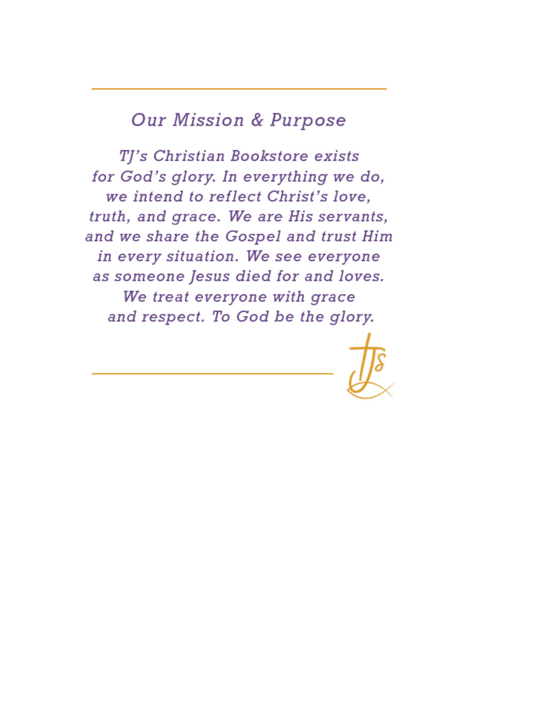## **Our Mission & Purpose**

TJ's Christian Bookstore exists for God's glory. In everything we do, we intend to reflect Christ's love. truth, and grace. We are His servants, and we share the Gospel and trust Him in every situation. We see everyone as someone Jesus died for and loves. We treat everyone with grace and respect. To God be the glory.

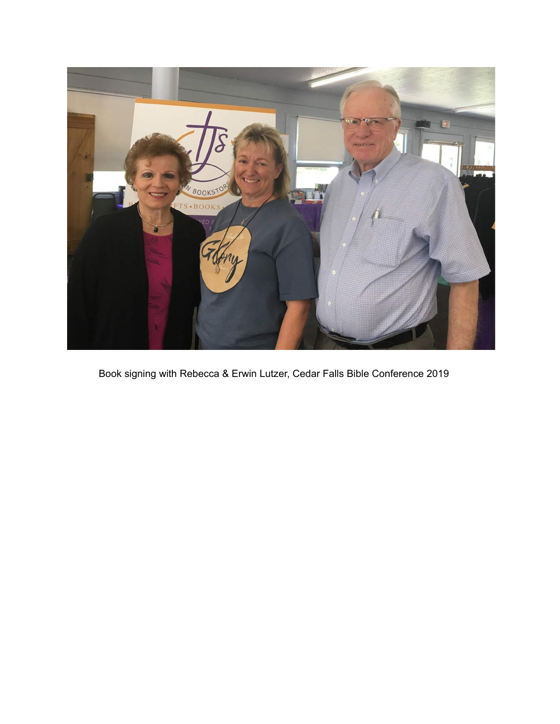

Book signing with Rebecca & Erwin Lutzer, Cedar Falls Bible Conference 2019